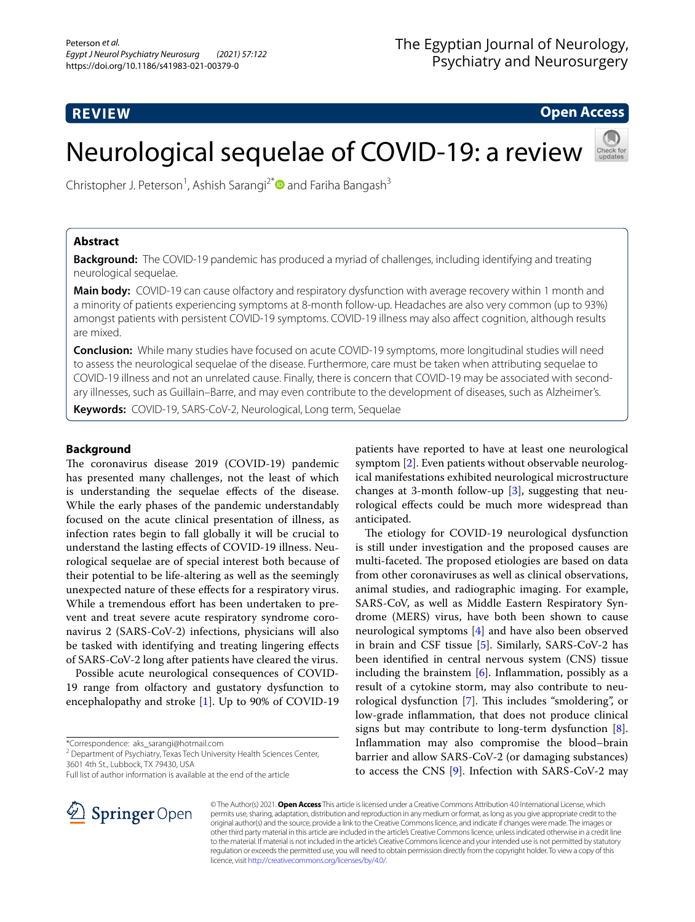## **REVIEW**

**Open Access**

# Neurological sequelae of COVID-19: a review



Christopher J. Peterson<sup>1</sup>, Ashish Sarangi<sup>2[\\*](http://orcid.org/0000-0003-3176-4006)</sup> and Fariha Bangash<sup>3</sup>

## **Abstract**

**Background:** The COVID-19 pandemic has produced a myriad of challenges, including identifying and treating neurological sequelae.

**Main body:** COVID-19 can cause olfactory and respiratory dysfunction with average recovery within 1 month and a minority of patients experiencing symptoms at 8-month follow-up. Headaches are also very common (up to 93%) amongst patients with persistent COVID-19 symptoms. COVID-19 illness may also afect cognition, although results are mixed.

**Conclusion:** While many studies have focused on acute COVID-19 symptoms, more longitudinal studies will need to assess the neurological sequelae of the disease. Furthermore, care must be taken when attributing sequelae to COVID-19 illness and not an unrelated cause. Finally, there is concern that COVID-19 may be associated with secondary illnesses, such as Guillain–Barre, and may even contribute to the development of diseases, such as Alzheimer's.

**Keywords:** COVID-19, SARS-CoV-2, Neurological, Long term, Sequelae

## **Background**

The coronavirus disease 2019 (COVID-19) pandemic has presented many challenges, not the least of which is understanding the sequelae efects of the disease. While the early phases of the pandemic understandably focused on the acute clinical presentation of illness, as infection rates begin to fall globally it will be crucial to understand the lasting efects of COVID-19 illness. Neurological sequelae are of special interest both because of their potential to be life-altering as well as the seemingly unexpected nature of these efects for a respiratory virus. While a tremendous effort has been undertaken to prevent and treat severe acute respiratory syndrome coronavirus 2 (SARS-CoV-2) infections, physicians will also be tasked with identifying and treating lingering efects of SARS-CoV-2 long after patients have cleared the virus.

Possible acute neurological consequences of COVID-19 range from olfactory and gustatory dysfunction to encephalopathy and stroke [[1\]](#page-4-0). Up to 90% of COVID-19

\*Correspondence: aks\_sarangi@hotmail.com

<sup>2</sup> Department of Psychiatry, Texas Tech University Health Sciences Center, 3601 4th St., Lubbock, TX 79430, USA

Full list of author information is available at the end of the article

patients have reported to have at least one neurological symptom [[2\]](#page-4-1). Even patients without observable neurological manifestations exhibited neurological microstructure changes at 3-month follow-up [[3\]](#page-4-2), suggesting that neurological efects could be much more widespread than anticipated.

The etiology for COVID-19 neurological dysfunction is still under investigation and the proposed causes are multi-faceted. The proposed etiologies are based on data from other coronaviruses as well as clinical observations, animal studies, and radiographic imaging. For example, SARS-CoV, as well as Middle Eastern Respiratory Syndrome (MERS) virus, have both been shown to cause neurological symptoms [\[4](#page-4-3)] and have also been observed in brain and CSF tissue [[5\]](#page-4-4). Similarly, SARS-CoV-2 has been identifed in central nervous system (CNS) tissue including the brainstem  $[6]$  $[6]$ . Inflammation, possibly as a result of a cytokine storm, may also contribute to neu-rological dysfunction [\[7](#page-4-6)]. This includes "smoldering", or low-grade infammation, that does not produce clinical signs but may contribute to long-term dysfunction [\[8](#page-4-7)]. Infammation may also compromise the blood–brain barrier and allow SARS-CoV-2 (or damaging substances) to access the CNS [\[9](#page-4-8)]. Infection with SARS-CoV-2 may



© The Author(s) 2021. **Open Access** This article is licensed under a Creative Commons Attribution 4.0 International License, which permits use, sharing, adaptation, distribution and reproduction in any medium or format, as long as you give appropriate credit to the original author(s) and the source, provide a link to the Creative Commons licence, and indicate if changes were made. The images or other third party material in this article are included in the article's Creative Commons licence, unless indicated otherwise in a credit line to the material. If material is not included in the article's Creative Commons licence and your intended use is not permitted by statutory regulation or exceeds the permitted use, you will need to obtain permission directly from the copyright holder. To view a copy of this licence, visit [http://creativecommons.org/licenses/by/4.0/.](http://creativecommons.org/licenses/by/4.0/)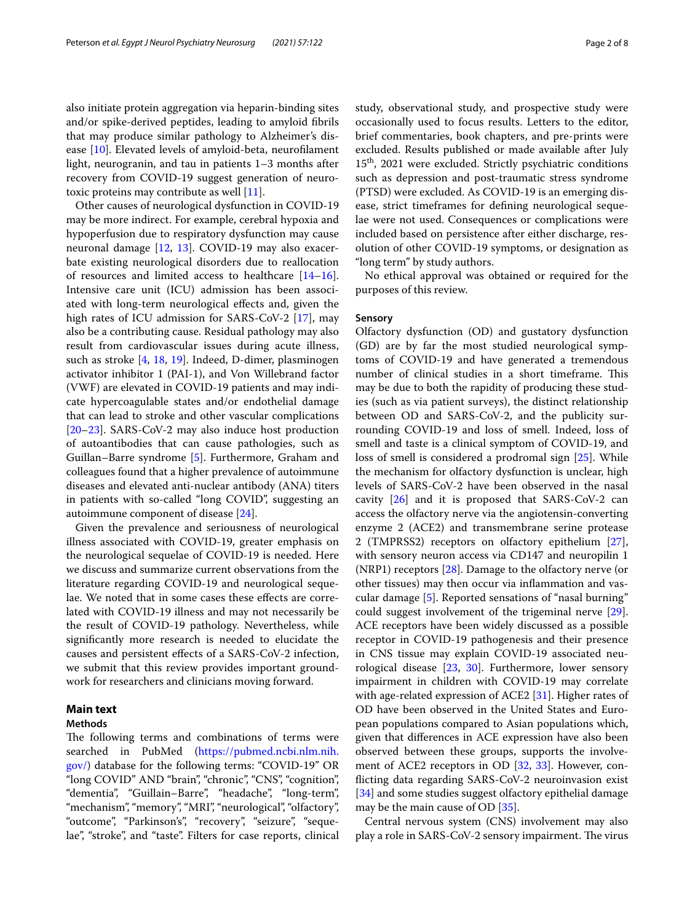also initiate protein aggregation via heparin-binding sites and/or spike-derived peptides, leading to amyloid fbrils that may produce similar pathology to Alzheimer's disease [\[10](#page-5-0)]. Elevated levels of amyloid-beta, neuroflament light, neurogranin, and tau in patients 1–3 months after recovery from COVID-19 suggest generation of neurotoxic proteins may contribute as well [[11\]](#page-5-1).

Other causes of neurological dysfunction in COVID-19 may be more indirect. For example, cerebral hypoxia and hypoperfusion due to respiratory dysfunction may cause neuronal damage [[12,](#page-5-2) [13\]](#page-5-3). COVID-19 may also exacerbate existing neurological disorders due to reallocation of resources and limited access to healthcare [[14](#page-5-4)[–16](#page-5-5)]. Intensive care unit (ICU) admission has been associated with long-term neurological efects and, given the high rates of ICU admission for SARS-CoV-2 [[17\]](#page-5-6), may also be a contributing cause. Residual pathology may also result from cardiovascular issues during acute illness, such as stroke [\[4](#page-4-3), [18](#page-5-7), [19](#page-5-8)]. Indeed, D-dimer, plasminogen activator inhibitor 1 (PAI-1), and Von Willebrand factor (VWF) are elevated in COVID-19 patients and may indicate hypercoagulable states and/or endothelial damage that can lead to stroke and other vascular complications [[20–](#page-5-9)[23](#page-5-10)]. SARS-CoV-2 may also induce host production of autoantibodies that can cause pathologies, such as Guillan–Barre syndrome [\[5](#page-4-4)]. Furthermore, Graham and colleagues found that a higher prevalence of autoimmune diseases and elevated anti-nuclear antibody (ANA) titers in patients with so-called "long COVID", suggesting an autoimmune component of disease [\[24](#page-5-11)].

Given the prevalence and seriousness of neurological illness associated with COVID-19, greater emphasis on the neurological sequelae of COVID-19 is needed. Here we discuss and summarize current observations from the literature regarding COVID-19 and neurological sequelae. We noted that in some cases these effects are correlated with COVID-19 illness and may not necessarily be the result of COVID-19 pathology. Nevertheless, while signifcantly more research is needed to elucidate the causes and persistent efects of a SARS-CoV-2 infection, we submit that this review provides important groundwork for researchers and clinicians moving forward.

#### **Main text**

## **Methods**

The following terms and combinations of terms were searched in PubMed ([https://pubmed.ncbi.nlm.nih.](https://pubmed.ncbi.nlm.nih.gov/) [gov/\)](https://pubmed.ncbi.nlm.nih.gov/) database for the following terms: "COVID-19" OR "long COVID" AND "brain", "chronic", "CNS", "cognition", "dementia", "Guillain–Barre", "headache", "long-term", "mechanism", "memory", "MRI", "neurological", "olfactory", "outcome", "Parkinson's", "recovery", "seizure", "sequelae", "stroke", and "taste". Filters for case reports, clinical study, observational study, and prospective study were occasionally used to focus results. Letters to the editor, brief commentaries, book chapters, and pre-prints were excluded. Results published or made available after July 15th, 2021 were excluded. Strictly psychiatric conditions such as depression and post-traumatic stress syndrome (PTSD) were excluded. As COVID-19 is an emerging disease, strict timeframes for defning neurological sequelae were not used. Consequences or complications were included based on persistence after either discharge, resolution of other COVID-19 symptoms, or designation as "long term" by study authors.

No ethical approval was obtained or required for the purposes of this review.

#### **Sensory**

Olfactory dysfunction (OD) and gustatory dysfunction (GD) are by far the most studied neurological symptoms of COVID-19 and have generated a tremendous number of clinical studies in a short timeframe. This may be due to both the rapidity of producing these studies (such as via patient surveys), the distinct relationship between OD and SARS-CoV-2, and the publicity surrounding COVID-19 and loss of smell. Indeed, loss of smell and taste is a clinical symptom of COVID-19, and loss of smell is considered a prodromal sign [\[25\]](#page-5-12). While the mechanism for olfactory dysfunction is unclear, high levels of SARS-CoV-2 have been observed in the nasal cavity [\[26](#page-5-13)] and it is proposed that SARS-CoV-2 can access the olfactory nerve via the angiotensin-converting enzyme 2 (ACE2) and transmembrane serine protease 2 (TMPRSS2) receptors on olfactory epithelium [\[27](#page-5-14)], with sensory neuron access via CD147 and neuropilin 1 (NRP1) receptors [[28\]](#page-5-15). Damage to the olfactory nerve (or other tissues) may then occur via infammation and vascular damage [[5](#page-4-4)]. Reported sensations of "nasal burning" could suggest involvement of the trigeminal nerve [\[29](#page-5-16)]. ACE receptors have been widely discussed as a possible receptor in COVID-19 pathogenesis and their presence in CNS tissue may explain COVID-19 associated neurological disease [[23](#page-5-10), [30](#page-5-17)]. Furthermore, lower sensory impairment in children with COVID-19 may correlate with age-related expression of ACE2 [[31](#page-5-18)]. Higher rates of OD have been observed in the United States and European populations compared to Asian populations which, given that diferences in ACE expression have also been observed between these groups, supports the involvement of ACE2 receptors in OD [[32,](#page-5-19) [33](#page-5-20)]. However, conficting data regarding SARS-CoV-2 neuroinvasion exist [[34\]](#page-5-21) and some studies suggest olfactory epithelial damage may be the main cause of OD [\[35](#page-5-22)].

Central nervous system (CNS) involvement may also play a role in SARS-CoV-2 sensory impairment. The virus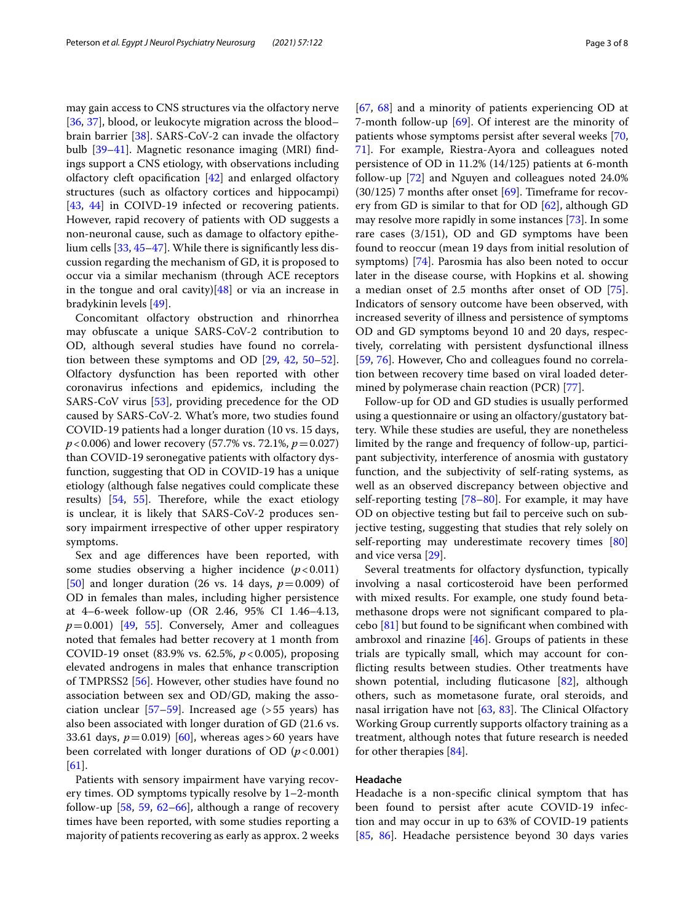may gain access to CNS structures via the olfactory nerve [[36,](#page-5-23) [37](#page-5-24)], blood, or leukocyte migration across the blood– brain barrier [[38\]](#page-5-25). SARS-CoV-2 can invade the olfactory bulb [\[39–](#page-5-26)[41\]](#page-5-27). Magnetic resonance imaging (MRI) fndings support a CNS etiology, with observations including olfactory cleft opacifcation [[42\]](#page-5-28) and enlarged olfactory structures (such as olfactory cortices and hippocampi) [[43,](#page-5-29) [44](#page-5-30)] in COIVD-19 infected or recovering patients. However, rapid recovery of patients with OD suggests a non-neuronal cause, such as damage to olfactory epithelium cells [[33](#page-5-20), [45](#page-5-31)[–47](#page-6-0)]. While there is signifcantly less discussion regarding the mechanism of GD, it is proposed to occur via a similar mechanism (through ACE receptors in the tongue and oral cavity) $[48]$  $[48]$  or via an increase in bradykinin levels [\[49](#page-6-2)].

Concomitant olfactory obstruction and rhinorrhea may obfuscate a unique SARS-CoV-2 contribution to OD, although several studies have found no correlation between these symptoms and OD [[29,](#page-5-16) [42](#page-5-28), [50](#page-6-3)[–52](#page-6-4)]. Olfactory dysfunction has been reported with other coronavirus infections and epidemics, including the SARS-CoV virus [\[53](#page-6-5)], providing precedence for the OD caused by SARS-CoV-2. What's more, two studies found COVID-19 patients had a longer duration (10 vs. 15 days, *p*<0.006) and lower recovery (57.7% vs. 72.1%, *p*=0.027) than COVID-19 seronegative patients with olfactory dysfunction, suggesting that OD in COVID-19 has a unique etiology (although false negatives could complicate these results)  $[54, 55]$  $[54, 55]$  $[54, 55]$  $[54, 55]$ . Therefore, while the exact etiology is unclear, it is likely that SARS-CoV-2 produces sensory impairment irrespective of other upper respiratory symptoms.

Sex and age diferences have been reported, with some studies observing a higher incidence  $(p<0.011)$ [[50\]](#page-6-3) and longer duration (26 vs. 14 days, *p*=0.009) of OD in females than males, including higher persistence at 4–6-week follow-up (OR 2.46, 95% CI 1.46–4.13,  $p=0.001$ ) [\[49,](#page-6-2) [55\]](#page-6-7). Conversely, Amer and colleagues noted that females had better recovery at 1 month from COVID-19 onset (83.9% vs. 62.5%, *p*<0.005), proposing elevated androgens in males that enhance transcription of TMPRSS2 [[56\]](#page-6-8). However, other studies have found no association between sex and OD/GD, making the association unclear  $[57-59]$  $[57-59]$ . Increased age (> 55 years) has also been associated with longer duration of GD (21.6 vs. 33.61 days,  $p = 0.019$  [\[60\]](#page-6-11), whereas ages > 60 years have been correlated with longer durations of OD  $(p<0.001)$ [[61\]](#page-6-12).

Patients with sensory impairment have varying recovery times. OD symptoms typically resolve by 1–2-month follow-up  $[58, 59, 62-66]$  $[58, 59, 62-66]$  $[58, 59, 62-66]$  $[58, 59, 62-66]$  $[58, 59, 62-66]$  $[58, 59, 62-66]$ , although a range of recovery times have been reported, with some studies reporting a majority of patients recovering as early as approx. 2 weeks [[67,](#page-6-16) [68\]](#page-6-17) and a minority of patients experiencing OD at 7-month follow-up [[69\]](#page-6-18). Of interest are the minority of patients whose symptoms persist after several weeks [[70](#page-6-19), [71\]](#page-6-20). For example, Riestra-Ayora and colleagues noted persistence of OD in 11.2% (14/125) patients at 6-month follow-up [\[72](#page-6-21)] and Nguyen and colleagues noted 24.0%  $(30/125)$  7 months after onset  $[69]$  $[69]$  $[69]$ . Timeframe for recovery from GD is similar to that for OD [[62\]](#page-6-14), although GD may resolve more rapidly in some instances [\[73\]](#page-6-22). In some rare cases (3/151), OD and GD symptoms have been found to reoccur (mean 19 days from initial resolution of symptoms) [[74\]](#page-6-23). Parosmia has also been noted to occur later in the disease course, with Hopkins et al. showing a median onset of 2.5 months after onset of OD [\[75](#page-6-24)]. Indicators of sensory outcome have been observed, with increased severity of illness and persistence of symptoms OD and GD symptoms beyond 10 and 20 days, respectively, correlating with persistent dysfunctional illness [[59,](#page-6-10) [76\]](#page-6-25). However, Cho and colleagues found no correlation between recovery time based on viral loaded determined by polymerase chain reaction (PCR) [[77\]](#page-6-26).

Follow-up for OD and GD studies is usually performed using a questionnaire or using an olfactory/gustatory battery. While these studies are useful, they are nonetheless limited by the range and frequency of follow-up, participant subjectivity, interference of anosmia with gustatory function, and the subjectivity of self-rating systems, as well as an observed discrepancy between objective and self-reporting testing [\[78](#page-6-27)[–80](#page-6-28)]. For example, it may have OD on objective testing but fail to perceive such on subjective testing, suggesting that studies that rely solely on self-reporting may underestimate recovery times [[80](#page-6-28)] and vice versa [\[29\]](#page-5-16).

Several treatments for olfactory dysfunction, typically involving a nasal corticosteroid have been performed with mixed results. For example, one study found betamethasone drops were not signifcant compared to placebo  $[81]$  $[81]$  but found to be significant when combined with ambroxol and rinazine [[46](#page-5-32)]. Groups of patients in these trials are typically small, which may account for conficting results between studies. Other treatments have shown potential, including futicasone [[82\]](#page-7-1), although others, such as mometasone furate, oral steroids, and nasal irrigation have not  $[63, 83]$  $[63, 83]$  $[63, 83]$  $[63, 83]$ . The Clinical Olfactory Working Group currently supports olfactory training as a treatment, although notes that future research is needed for other therapies [[84\]](#page-7-3).

#### **Headache**

Headache is a non-specifc clinical symptom that has been found to persist after acute COVID-19 infection and may occur in up to 63% of COVID-19 patients [[85,](#page-7-4) [86\]](#page-7-5). Headache persistence beyond 30 days varies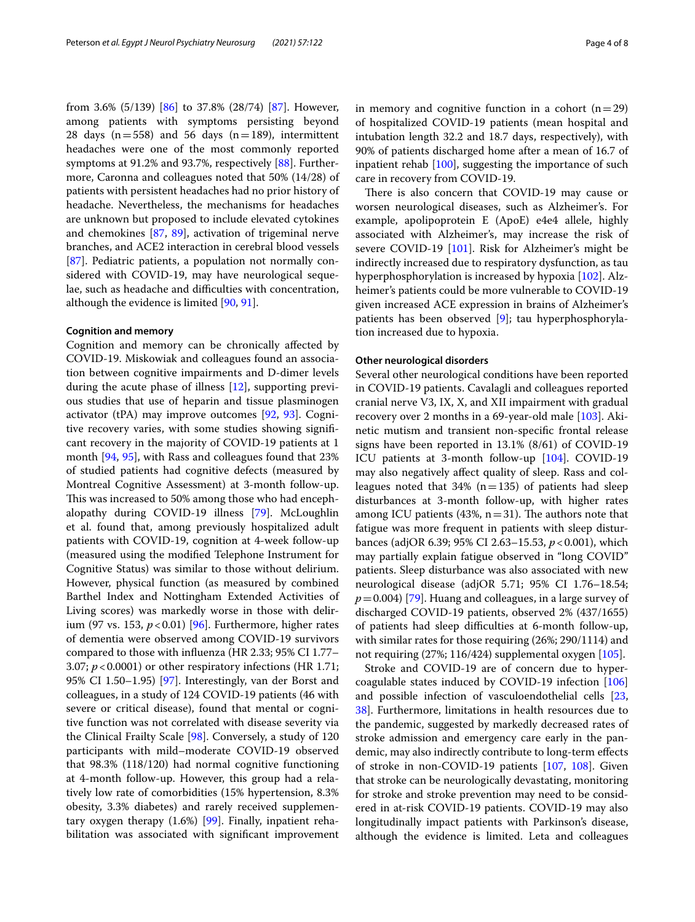from 3.6% (5/139) [[86\]](#page-7-5) to 37.8% (28/74) [\[87\]](#page-7-6). However, among patients with symptoms persisting beyond 28 days  $(n=558)$  and 56 days  $(n=189)$ , intermittent headaches were one of the most commonly reported symptoms at 91.2% and 93.7%, respectively [[88](#page-7-7)]. Furthermore, Caronna and colleagues noted that 50% (14/28) of patients with persistent headaches had no prior history of headache. Nevertheless, the mechanisms for headaches are unknown but proposed to include elevated cytokines and chemokines [\[87](#page-7-6), [89\]](#page-7-8), activation of trigeminal nerve branches, and ACE2 interaction in cerebral blood vessels [[87\]](#page-7-6). Pediatric patients, a population not normally considered with COVID-19, may have neurological sequelae, such as headache and difficulties with concentration, although the evidence is limited [\[90](#page-7-9), [91](#page-7-10)].

#### **Cognition and memory**

Cognition and memory can be chronically afected by COVID-19. Miskowiak and colleagues found an association between cognitive impairments and D-dimer levels during the acute phase of illness [\[12](#page-5-2)], supporting previous studies that use of heparin and tissue plasminogen activator (tPA) may improve outcomes  $[92, 93]$  $[92, 93]$  $[92, 93]$ . Cognitive recovery varies, with some studies showing signifcant recovery in the majority of COVID-19 patients at 1 month [\[94,](#page-7-13) [95\]](#page-7-14), with Rass and colleagues found that 23% of studied patients had cognitive defects (measured by Montreal Cognitive Assessment) at 3-month follow-up. This was increased to 50% among those who had encephalopathy during COVID-19 illness [\[79](#page-6-30)]. McLoughlin et al. found that, among previously hospitalized adult patients with COVID-19, cognition at 4-week follow-up (measured using the modifed Telephone Instrument for Cognitive Status) was similar to those without delirium. However, physical function (as measured by combined Barthel Index and Nottingham Extended Activities of Living scores) was markedly worse in those with delirium (97 vs. 153, *p*<0.01) [\[96](#page-7-15)]. Furthermore, higher rates of dementia were observed among COVID-19 survivors compared to those with infuenza (HR 2.33; 95% CI 1.77– 3.07;  $p$  < 0.0001) or other respiratory infections (HR 1.71; 95% CI 1.50–1.95) [[97\]](#page-7-16). Interestingly, van der Borst and colleagues, in a study of 124 COVID-19 patients (46 with severe or critical disease), found that mental or cognitive function was not correlated with disease severity via the Clinical Frailty Scale [[98\]](#page-7-17). Conversely, a study of 120 participants with mild–moderate COVID-19 observed that 98.3% (118/120) had normal cognitive functioning at 4-month follow-up. However, this group had a relatively low rate of comorbidities (15% hypertension, 8.3% obesity, 3.3% diabetes) and rarely received supplementary oxygen therapy (1.6%) [[99\]](#page-7-18). Finally, inpatient rehabilitation was associated with signifcant improvement in memory and cognitive function in a cohort  $(n=29)$ of hospitalized COVID-19 patients (mean hospital and intubation length 32.2 and 18.7 days, respectively), with 90% of patients discharged home after a mean of 16.7 of inpatient rehab [\[100](#page-7-19)], suggesting the importance of such care in recovery from COVID-19.

There is also concern that COVID-19 may cause or worsen neurological diseases, such as Alzheimer's. For example, apolipoprotein E (ApoE) e4e4 allele, highly associated with Alzheimer's, may increase the risk of severe COVID-19 [[101\]](#page-7-20). Risk for Alzheimer's might be indirectly increased due to respiratory dysfunction, as tau hyperphosphorylation is increased by hypoxia [\[102](#page-7-21)]. Alzheimer's patients could be more vulnerable to COVID-19 given increased ACE expression in brains of Alzheimer's patients has been observed [\[9](#page-4-8)]; tau hyperphosphorylation increased due to hypoxia.

#### **Other neurological disorders**

Several other neurological conditions have been reported in COVID-19 patients. Cavalagli and colleagues reported cranial nerve V3, IX, X, and XII impairment with gradual recovery over 2 months in a 69-year-old male [[103](#page-7-22)]. Akinetic mutism and transient non-specifc frontal release signs have been reported in 13.1% (8/61) of COVID-19 ICU patients at 3-month follow-up [[104](#page-7-23)]. COVID-19 may also negatively afect quality of sleep. Rass and colleagues noted that 34% ( $n=135$ ) of patients had sleep disturbances at 3-month follow-up, with higher rates among ICU patients (43%,  $n=31$ ). The authors note that fatigue was more frequent in patients with sleep disturbances (adjOR 6.39; 95% CI 2.63–15.53, *p*<0.001), which may partially explain fatigue observed in "long COVID" patients. Sleep disturbance was also associated with new neurological disease (adjOR 5.71; 95% CI 1.76–18.54; *p*=0.004) [[79](#page-6-30)]. Huang and colleagues, in a large survey of discharged COVID-19 patients, observed 2% (437/1655) of patients had sleep difficulties at 6-month follow-up, with similar rates for those requiring (26%; 290/1114) and not requiring (27%; 116/424) supplemental oxygen [[105\]](#page-7-24).

Stroke and COVID-19 are of concern due to hypercoagulable states induced by COVID-19 infection [[106](#page-7-25)] and possible infection of vasculoendothelial cells [[23](#page-5-10), [38\]](#page-5-25). Furthermore, limitations in health resources due to the pandemic, suggested by markedly decreased rates of stroke admission and emergency care early in the pandemic, may also indirectly contribute to long-term efects of stroke in non-COVID-19 patients [\[107](#page-7-26), [108](#page-7-27)]. Given that stroke can be neurologically devastating, monitoring for stroke and stroke prevention may need to be considered in at-risk COVID-19 patients. COVID-19 may also longitudinally impact patients with Parkinson's disease, although the evidence is limited. Leta and colleagues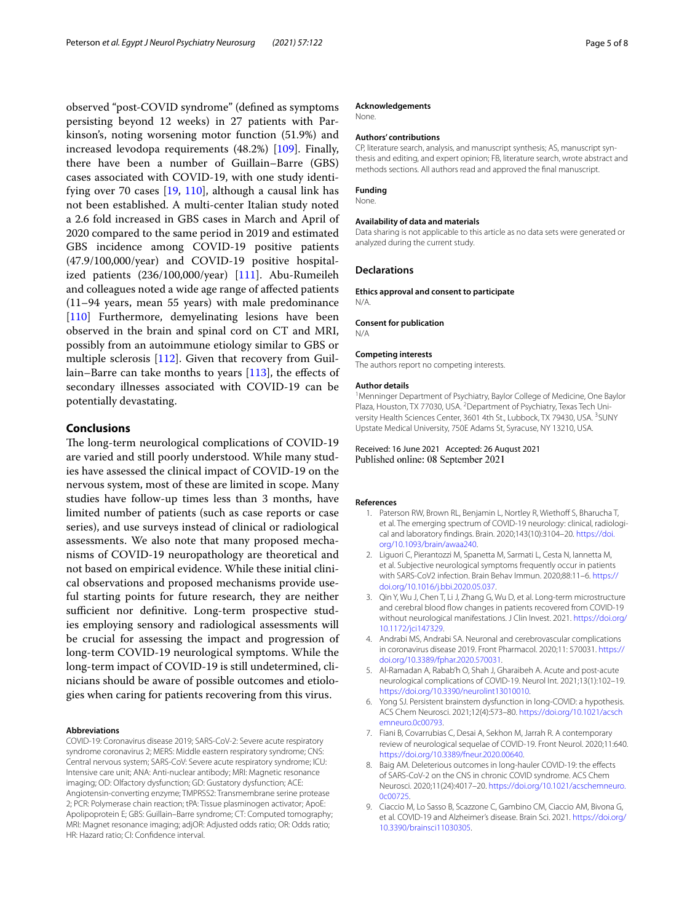observed "post-COVID syndrome" (defned as symptoms persisting beyond 12 weeks) in 27 patients with Parkinson's, noting worsening motor function (51.9%) and increased levodopa requirements (48.2%) [\[109](#page-7-28)]. Finally, there have been a number of Guillain–Barre (GBS) cases associated with COVID-19, with one study identifying over 70 cases [\[19,](#page-5-8) [110](#page-7-29)], although a causal link has not been established. A multi-center Italian study noted a 2.6 fold increased in GBS cases in March and April of 2020 compared to the same period in 2019 and estimated GBS incidence among COVID-19 positive patients (47.9/100,000/year) and COVID-19 positive hospitalized patients (236/100,000/year) [[111](#page-7-30)]. Abu-Rumeileh and colleagues noted a wide age range of afected patients (11–94 years, mean 55 years) with male predominance [[110\]](#page-7-29) Furthermore, demyelinating lesions have been observed in the brain and spinal cord on CT and MRI, possibly from an autoimmune etiology similar to GBS or multiple sclerosis [\[112](#page-7-31)]. Given that recovery from Guil-lain–Barre can take months to years [[113](#page-7-32)], the effects of secondary illnesses associated with COVID-19 can be potentially devastating.

## **Conclusions**

The long-term neurological complications of COVID-19 are varied and still poorly understood. While many studies have assessed the clinical impact of COVID-19 on the nervous system, most of these are limited in scope. Many studies have follow-up times less than 3 months, have limited number of patients (such as case reports or case series), and use surveys instead of clinical or radiological assessments. We also note that many proposed mechanisms of COVID-19 neuropathology are theoretical and not based on empirical evidence. While these initial clinical observations and proposed mechanisms provide useful starting points for future research, they are neither sufficient nor definitive. Long-term prospective studies employing sensory and radiological assessments will be crucial for assessing the impact and progression of long-term COVID-19 neurological symptoms. While the long-term impact of COVID-19 is still undetermined, clinicians should be aware of possible outcomes and etiologies when caring for patients recovering from this virus.

#### **Abbreviations**

COVID-19: Coronavirus disease 2019; SARS-CoV-2: Severe acute respiratory syndrome coronavirus 2; MERS: Middle eastern respiratory syndrome; CNS: Central nervous system; SARS-CoV: Severe acute respiratory syndrome; ICU: Intensive care unit; ANA: Anti-nuclear antibody; MRI: Magnetic resonance imaging; OD: Olfactory dysfunction; GD: Gustatory dysfunction; ACE: Angiotensin-converting enzyme; TMPRSS2: Transmembrane serine protease 2; PCR: Polymerase chain reaction; tPA: Tissue plasminogen activator; ApoE: Apolipoprotein E; GBS: Guillain–Barre syndrome; CT: Computed tomography; MRI: Magnet resonance imaging; adjOR: Adjusted odds ratio; OR: Odds ratio; HR: Hazard ratio; CI: Confdence interval.

#### **Acknowledgements**

None.

#### **Authors' contributions**

CP, literature search, analysis, and manuscript synthesis; AS, manuscript synthesis and editing, and expert opinion; FB, literature search, wrote abstract and methods sections. All authors read and approved the fnal manuscript.

#### **Funding**

None.

#### **Availability of data and materials**

Data sharing is not applicable to this article as no data sets were generated or analyzed during the current study.

#### **Declarations**

**Ethics approval and consent to participate** N/A.

#### **Consent for publication**

N/A

#### **Competing interests**

The authors report no competing interests.

#### **Author details**

<sup>1</sup> Menninger Department of Psychiatry, Baylor College of Medicine, One Baylor Plaza, Houston, TX 77030, USA. <sup>2</sup> Department of Psychiatry, Texas Tech University Health Sciences Center, 3601 4th St., Lubbock, TX 79430, USA. <sup>3</sup>SUNY Upstate Medical University, 750E Adams St, Syracuse, NY 13210, USA.

Received: 16 June 2021 Accepted: 26 August 2021 Published online: 08 September 2021

#### <span id="page-4-0"></span>**References**

- 1. Paterson RW, Brown RL, Benjamin L, Nortley R, Wiethoff S, Bharucha T, et al. The emerging spectrum of COVID-19 neurology: clinical, radiological and laboratory fndings. Brain. 2020;143(10):3104–20. [https://doi.](https://doi.org/10.1093/brain/awaa240) [org/10.1093/brain/awaa240.](https://doi.org/10.1093/brain/awaa240)
- <span id="page-4-1"></span>2. Liguori C, Pierantozzi M, Spanetta M, Sarmati L, Cesta N, Iannetta M, et al. Subjective neurological symptoms frequently occur in patients with SARS-CoV2 infection. Brain Behav Immun. 2020;88:11–6. [https://](https://doi.org/10.1016/j.bbi.2020.05.037) [doi.org/10.1016/j.bbi.2020.05.037](https://doi.org/10.1016/j.bbi.2020.05.037).
- <span id="page-4-2"></span>3. Qin Y, Wu J, Chen T, Li J, Zhang G, Wu D, et al. Long-term microstructure and cerebral blood flow changes in patients recovered from COVID-19 without neurological manifestations. J Clin Invest. 2021. [https://doi.org/](https://doi.org/10.1172/jci147329) [10.1172/jci147329.](https://doi.org/10.1172/jci147329)
- <span id="page-4-3"></span>4. Andrabi MS, Andrabi SA. Neuronal and cerebrovascular complications in coronavirus disease 2019. Front Pharmacol. 2020;11: 570031. [https://](https://doi.org/10.3389/fphar.2020.570031) [doi.org/10.3389/fphar.2020.570031.](https://doi.org/10.3389/fphar.2020.570031)
- <span id="page-4-4"></span>5. Al-Ramadan A, Rabab'h O, Shah J, Gharaibeh A. Acute and post-acute neurological complications of COVID-19. Neurol Int. 2021;13(1):102–19. [https://doi.org/10.3390/neurolint13010010.](https://doi.org/10.3390/neurolint13010010)
- <span id="page-4-5"></span>6. Yong SJ. Persistent brainstem dysfunction in long-COVID: a hypothesis. ACS Chem Neurosci. 2021;12(4):573–80. [https://doi.org/10.1021/acsch](https://doi.org/10.1021/acschemneuro.0c00793) [emneuro.0c00793](https://doi.org/10.1021/acschemneuro.0c00793).
- <span id="page-4-6"></span>7. Fiani B, Covarrubias C, Desai A, Sekhon M, Jarrah R. A contemporary review of neurological sequelae of COVID-19. Front Neurol. 2020;11:640. <https://doi.org/10.3389/fneur.2020.00640>.
- <span id="page-4-7"></span>8. Baig AM. Deleterious outcomes in long-hauler COVID-19: the effects of SARS-CoV-2 on the CNS in chronic COVID syndrome. ACS Chem Neurosci. 2020;11(24):4017–20. [https://doi.org/10.1021/acschemneuro.](https://doi.org/10.1021/acschemneuro.0c00725) [0c00725.](https://doi.org/10.1021/acschemneuro.0c00725)
- <span id="page-4-8"></span>9. Ciaccio M, Lo Sasso B, Scazzone C, Gambino CM, Ciaccio AM, Bivona G, et al. COVID-19 and Alzheimer's disease. Brain Sci. 2021. [https://doi.org/](https://doi.org/10.3390/brainsci11030305) [10.3390/brainsci11030305](https://doi.org/10.3390/brainsci11030305).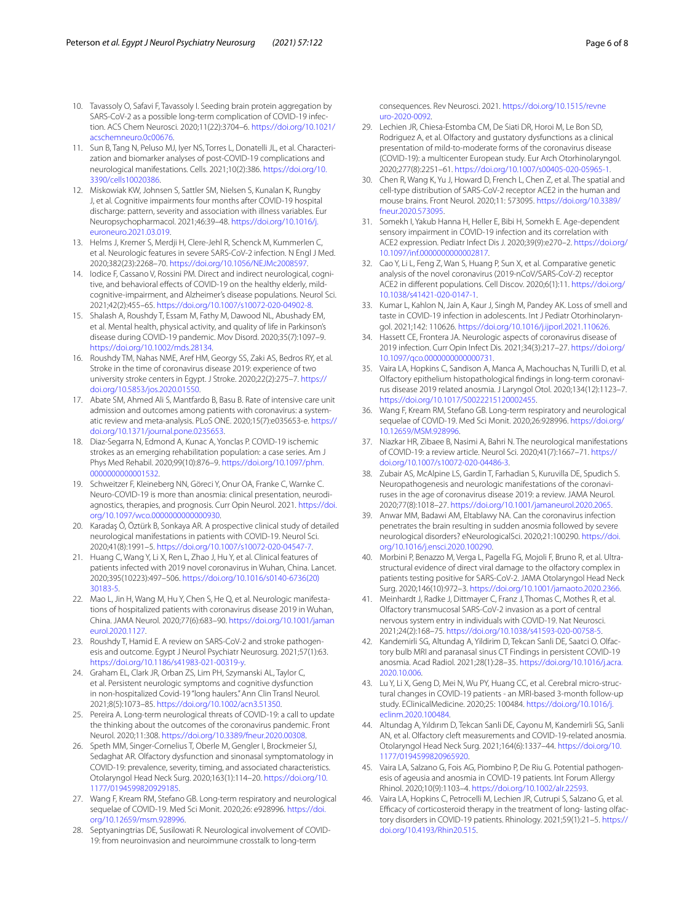- <span id="page-5-0"></span>10. Tavassoly O, Safavi F, Tavassoly I. Seeding brain protein aggregation by SARS-CoV-2 as a possible long-term complication of COVID-19 infection. ACS Chem Neurosci. 2020;11(22):3704–6. [https://doi.org/10.1021/](https://doi.org/10.1021/acschemneuro.0c00676) [acschemneuro.0c00676](https://doi.org/10.1021/acschemneuro.0c00676).
- <span id="page-5-1"></span>11. Sun B, Tang N, Peluso MJ, Iyer NS, Torres L, Donatelli JL, et al. Characterization and biomarker analyses of post-COVID-19 complications and neurological manifestations. Cells. 2021;10(2):386. [https://doi.org/10.](https://doi.org/10.3390/cells10020386) [3390/cells10020386.](https://doi.org/10.3390/cells10020386)
- <span id="page-5-2"></span>12. Miskowiak KW, Johnsen S, Sattler SM, Nielsen S, Kunalan K, Rungby J, et al. Cognitive impairments four months after COVID-19 hospital discharge: pattern, severity and association with illness variables. Eur Neuropsychopharmacol. 2021;46:39–48. [https://doi.org/10.1016/j.](https://doi.org/10.1016/j.euroneuro.2021.03.019) [euroneuro.2021.03.019](https://doi.org/10.1016/j.euroneuro.2021.03.019).
- <span id="page-5-3"></span>13. Helms J, Kremer S, Merdji H, Clere-Jehl R, Schenck M, Kummerlen C, et al. Neurologic features in severe SARS-CoV-2 infection. N Engl J Med. 2020;382(23):2268–70.<https://doi.org/10.1056/NEJMc2008597>.
- <span id="page-5-4"></span>14. Iodice F, Cassano V, Rossini PM. Direct and indirect neurological, cognitive, and behavioral effects of COVID-19 on the healthy elderly, mildcognitive-impairment, and Alzheimer's disease populations. Neurol Sci. 2021;42(2):455–65.<https://doi.org/10.1007/s10072-020-04902-8>.
- 15. Shalash A, Roushdy T, Essam M, Fathy M, Dawood NL, Abushady EM, et al. Mental health, physical activity, and quality of life in Parkinson's disease during COVID-19 pandemic. Mov Disord. 2020;35(7):1097–9. [https://doi.org/10.1002/mds.28134.](https://doi.org/10.1002/mds.28134)
- <span id="page-5-5"></span>16. Roushdy TM, Nahas NME, Aref HM, Georgy SS, Zaki AS, Bedros RY, et al. Stroke in the time of coronavirus disease 2019: experience of two university stroke centers in Egypt. J Stroke. 2020;22(2):275–7. [https://](https://doi.org/10.5853/jos.2020.01550) [doi.org/10.5853/jos.2020.01550.](https://doi.org/10.5853/jos.2020.01550)
- <span id="page-5-6"></span>17. Abate SM, Ahmed Ali S, Mantfardo B, Basu B. Rate of intensive care unit admission and outcomes among patients with coronavirus: a systematic review and meta-analysis. PLoS ONE. 2020;15(7):e035653-e. [https://](https://doi.org/10.1371/journal.pone.0235653) [doi.org/10.1371/journal.pone.0235653.](https://doi.org/10.1371/journal.pone.0235653)
- <span id="page-5-7"></span>18. Diaz-Segarra N, Edmond A, Kunac A, Yonclas P. COVID-19 ischemic strokes as an emerging rehabilitation population: a case series. Am J Phys Med Rehabil. 2020;99(10):876–9. [https://doi.org/10.1097/phm.](https://doi.org/10.1097/phm.0000000000001532) [0000000000001532.](https://doi.org/10.1097/phm.0000000000001532)
- <span id="page-5-8"></span>19. Schweitzer F, Kleineberg NN, Göreci Y, Onur OA, Franke C, Warnke C. Neuro-COVID-19 is more than anosmia: clinical presentation, neurodiagnostics, therapies, and prognosis. Curr Opin Neurol. 2021. [https://doi.](https://doi.org/10.1097/wco.0000000000000930) [org/10.1097/wco.0000000000000930](https://doi.org/10.1097/wco.0000000000000930).
- <span id="page-5-9"></span>20. Karadaş Ö, Öztürk B, Sonkaya AR. A prospective clinical study of detailed neurological manifestations in patients with COVID-19. Neurol Sci. 2020;41(8):1991–5.<https://doi.org/10.1007/s10072-020-04547-7>.
- 21. Huang C, Wang Y, Li X, Ren L, Zhao J, Hu Y, et al. Clinical features of patients infected with 2019 novel coronavirus in Wuhan, China. Lancet. 2020;395(10223):497–506. [https://doi.org/10.1016/s0140-6736\(20\)](https://doi.org/10.1016/s0140-6736(20)30183-5) [30183-5](https://doi.org/10.1016/s0140-6736(20)30183-5).
- 22. Mao L, Jin H, Wang M, Hu Y, Chen S, He Q, et al. Neurologic manifestations of hospitalized patients with coronavirus disease 2019 in Wuhan, China. JAMA Neurol. 2020;77(6):683–90. [https://doi.org/10.1001/jaman](https://doi.org/10.1001/jamaneurol.2020.1127) [eurol.2020.1127](https://doi.org/10.1001/jamaneurol.2020.1127).
- <span id="page-5-10"></span>23. Roushdy T, Hamid E. A review on SARS-CoV-2 and stroke pathogenesis and outcome. Egypt J Neurol Psychiatr Neurosurg. 2021;57(1):63. <https://doi.org/10.1186/s41983-021-00319-y>.
- <span id="page-5-11"></span>24. Graham EL, Clark JR, Orban ZS, Lim PH, Szymanski AL, Taylor C, et al. Persistent neurologic symptoms and cognitive dysfunction in non-hospitalized Covid-19 "long haulers." Ann Clin Transl Neurol. 2021;8(5):1073–85.<https://doi.org/10.1002/acn3.51350>.
- <span id="page-5-12"></span>25. Pereira A. Long-term neurological threats of COVID-19: a call to update the thinking about the outcomes of the coronavirus pandemic. Front Neurol. 2020;11:308. [https://doi.org/10.3389/fneur.2020.00308.](https://doi.org/10.3389/fneur.2020.00308)
- <span id="page-5-13"></span>26. Speth MM, Singer-Cornelius T, Oberle M, Gengler I, Brockmeier SJ, Sedaghat AR. Olfactory dysfunction and sinonasal symptomatology in COVID-19: prevalence, severity, timing, and associated characteristics. Otolaryngol Head Neck Surg. 2020;163(1):114–20. [https://doi.org/10.](https://doi.org/10.1177/0194599820929185) [1177/0194599820929185](https://doi.org/10.1177/0194599820929185).
- <span id="page-5-14"></span>27. Wang F, Kream RM, Stefano GB. Long-term respiratory and neurological sequelae of COVID-19. Med Sci Monit. 2020;26: e928996. [https://doi.](https://doi.org/10.12659/msm.928996) [org/10.12659/msm.928996](https://doi.org/10.12659/msm.928996).
- <span id="page-5-15"></span>Septyaningtrias DE, Susilowati R. Neurological involvement of COVID-19: from neuroinvasion and neuroimmune crosstalk to long-term

consequences. Rev Neurosci. 2021. [https://doi.org/10.1515/revne](https://doi.org/10.1515/revneuro-2020-0092) [uro-2020-0092](https://doi.org/10.1515/revneuro-2020-0092).

- <span id="page-5-16"></span>29. Lechien JR, Chiesa-Estomba CM, De Siati DR, Horoi M, Le Bon SD, Rodriguez A, et al. Olfactory and gustatory dysfunctions as a clinical presentation of mild-to-moderate forms of the coronavirus disease (COVID-19): a multicenter European study. Eur Arch Otorhinolaryngol. 2020;277(8):2251–61. <https://doi.org/10.1007/s00405-020-05965-1>.
- <span id="page-5-17"></span>30. Chen R, Wang K, Yu J, Howard D, French L, Chen Z, et al. The spatial and cell-type distribution of SARS-CoV-2 receptor ACE2 in the human and mouse brains. Front Neurol. 2020;11: 573095. [https://doi.org/10.3389/](https://doi.org/10.3389/fneur.2020.573095) [fneur.2020.573095](https://doi.org/10.3389/fneur.2020.573095).
- <span id="page-5-18"></span>31. Somekh I, Yakub Hanna H, Heller E, Bibi H, Somekh E. Age-dependent sensory impairment in COVID-19 infection and its correlation with ACE2 expression. Pediatr Infect Dis J. 2020;39(9):e270–2. [https://doi.org/](https://doi.org/10.1097/inf.0000000000002817) [10.1097/inf.0000000000002817](https://doi.org/10.1097/inf.0000000000002817).
- <span id="page-5-19"></span>32. Cao Y, Li L, Feng Z, Wan S, Huang P, Sun X, et al. Comparative genetic analysis of the novel coronavirus (2019-nCoV/SARS-CoV-2) receptor ACE2 in diferent populations. Cell Discov. 2020;6(1):11. [https://doi.org/](https://doi.org/10.1038/s41421-020-0147-1) [10.1038/s41421-020-0147-1](https://doi.org/10.1038/s41421-020-0147-1).
- <span id="page-5-20"></span>33. Kumar L, Kahlon N, Jain A, Kaur J, Singh M, Pandey AK. Loss of smell and taste in COVID-19 infection in adolescents. Int J Pediatr Otorhinolaryngol. 2021;142: 110626. <https://doi.org/10.1016/j.ijporl.2021.110626>.
- <span id="page-5-21"></span>34. Hassett CE, Frontera JA. Neurologic aspects of coronavirus disease of 2019 infection. Curr Opin Infect Dis. 2021;34(3):217–27. [https://doi.org/](https://doi.org/10.1097/qco.0000000000000731) [10.1097/qco.0000000000000731](https://doi.org/10.1097/qco.0000000000000731).
- <span id="page-5-22"></span>Vaira LA, Hopkins C, Sandison A, Manca A, Machouchas N, Turilli D, et al. Olfactory epithelium histopathological fndings in long-term coronavirus disease 2019 related anosmia. J Laryngol Otol. 2020;134(12):1123–7. <https://doi.org/10.1017/S0022215120002455>.
- <span id="page-5-23"></span>36. Wang F, Kream RM, Stefano GB. Long-term respiratory and neurological sequelae of COVID-19. Med Sci Monit. 2020;26:928996. [https://doi.org/](https://doi.org/10.12659/MSM.928996) [10.12659/MSM.928996](https://doi.org/10.12659/MSM.928996).
- <span id="page-5-24"></span>37. Niazkar HR, Zibaee B, Nasimi A, Bahri N. The neurological manifestations of COVID-19: a review article. Neurol Sci. 2020;41(7):1667–71. [https://](https://doi.org/10.1007/s10072-020-04486-3) [doi.org/10.1007/s10072-020-04486-3.](https://doi.org/10.1007/s10072-020-04486-3)
- <span id="page-5-25"></span>38. Zubair AS, McAlpine LS, Gardin T, Farhadian S, Kuruvilla DE, Spudich S. Neuropathogenesis and neurologic manifestations of the coronaviruses in the age of coronavirus disease 2019: a review. JAMA Neurol. 2020;77(8):1018–27. [https://doi.org/10.1001/jamaneurol.2020.2065.](https://doi.org/10.1001/jamaneurol.2020.2065)
- <span id="page-5-26"></span>39. Anwar MM, Badawi AM, Eltablawy NA. Can the coronavirus infection penetrates the brain resulting in sudden anosmia followed by severe neurological disorders? eNeurologicalSci. 2020;21:100290. [https://doi.](https://doi.org/10.1016/j.ensci.2020.100290) [org/10.1016/j.ensci.2020.100290](https://doi.org/10.1016/j.ensci.2020.100290).
- 40. Morbini P, Benazzo M, Verga L, Pagella FG, Mojoli F, Bruno R, et al. Ultrastructural evidence of direct viral damage to the olfactory complex in patients testing positive for SARS-CoV-2. JAMA Otolaryngol Head Neck Surg. 2020;146(10):972–3. <https://doi.org/10.1001/jamaoto.2020.2366>.
- <span id="page-5-27"></span>41. Meinhardt J, Radke J, Dittmayer C, Franz J, Thomas C, Mothes R, et al. Olfactory transmucosal SARS-CoV-2 invasion as a port of central nervous system entry in individuals with COVID-19. Nat Neurosci. 2021;24(2):168–75.<https://doi.org/10.1038/s41593-020-00758-5>.
- <span id="page-5-28"></span>42. Kandemirli SG, Altundag A, Yildirim D, Tekcan Sanli DE, Saatci O. Olfactory bulb MRI and paranasal sinus CT Findings in persistent COVID-19 anosmia. Acad Radiol. 2021;28(1):28–35. [https://doi.org/10.1016/j.acra.](https://doi.org/10.1016/j.acra.2020.10.006) [2020.10.006](https://doi.org/10.1016/j.acra.2020.10.006).
- <span id="page-5-29"></span>43. Lu Y, Li X, Geng D, Mei N, Wu PY, Huang CC, et al. Cerebral micro-structural changes in COVID-19 patients - an MRI-based 3-month follow-up study. EClinicalMedicine. 2020;25: 100484. [https://doi.org/10.1016/j.](https://doi.org/10.1016/j.eclinm.2020.100484) [eclinm.2020.100484.](https://doi.org/10.1016/j.eclinm.2020.100484)
- <span id="page-5-30"></span>44. Altundag A, Yıldırım D, Tekcan Sanli DE, Cayonu M, Kandemirli SG, Sanli AN, et al. Olfactory cleft measurements and COVID-19-related anosmia. Otolaryngol Head Neck Surg. 2021;164(6):1337–44. [https://doi.org/10.](https://doi.org/10.1177/0194599820965920) [1177/0194599820965920](https://doi.org/10.1177/0194599820965920).
- <span id="page-5-31"></span>45. Vaira LA, Salzano G, Fois AG, Piombino P, De Riu G. Potential pathogenesis of ageusia and anosmia in COVID-19 patients. Int Forum Allergy Rhinol. 2020;10(9):1103–4. [https://doi.org/10.1002/alr.22593.](https://doi.org/10.1002/alr.22593)
- <span id="page-5-32"></span>Vaira LA, Hopkins C, Petrocelli M, Lechien JR, Cutrupi S, Salzano G, et al. Efficacy of corticosteroid therapy in the treatment of long-lasting olfactory disorders in COVID-19 patients. Rhinology. 2021;59(1):21–5. [https://](https://doi.org/10.4193/Rhin20.515) [doi.org/10.4193/Rhin20.515](https://doi.org/10.4193/Rhin20.515).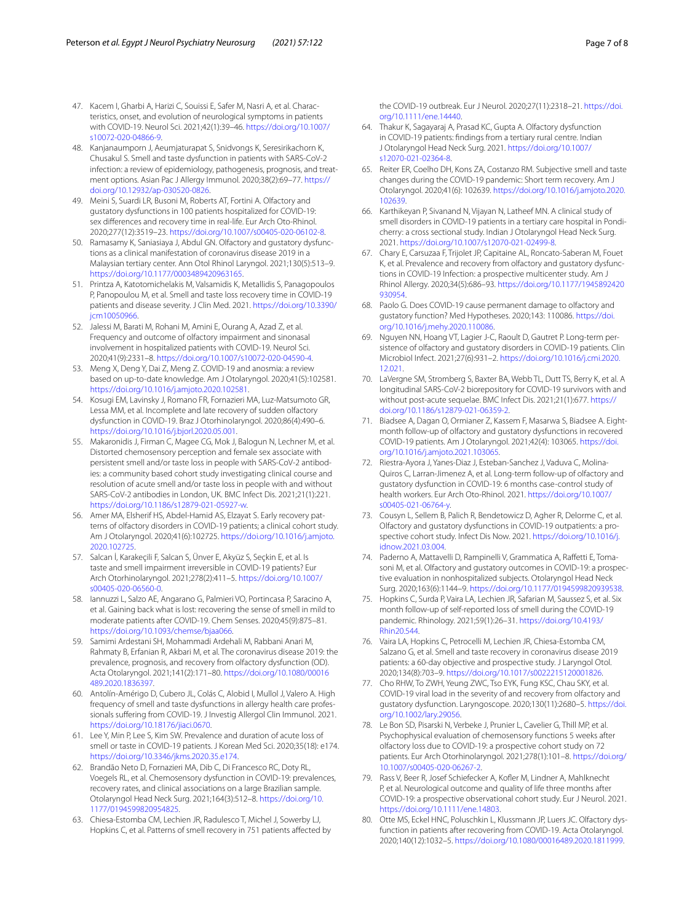- <span id="page-6-0"></span>47. Kacem I, Gharbi A, Harizi C, Souissi E, Safer M, Nasri A, et al. Characteristics, onset, and evolution of neurological symptoms in patients with COVID-19. Neurol Sci. 2021;42(1):39–46. [https://doi.org/10.1007/](https://doi.org/10.1007/s10072-020-04866-9) [s10072-020-04866-9.](https://doi.org/10.1007/s10072-020-04866-9)
- <span id="page-6-1"></span>48. Kanjanaumporn J, Aeumjaturapat S, Snidvongs K, Seresirikachorn K, Chusakul S. Smell and taste dysfunction in patients with SARS-CoV-2 infection: a review of epidemiology, pathogenesis, prognosis, and treatment options. Asian Pac J Allergy Immunol. 2020;38(2):69–77. [https://](https://doi.org/10.12932/ap-030520-0826) [doi.org/10.12932/ap-030520-0826](https://doi.org/10.12932/ap-030520-0826).
- <span id="page-6-2"></span>49. Meini S, Suardi LR, Busoni M, Roberts AT, Fortini A. Olfactory and gustatory dysfunctions in 100 patients hospitalized for COVID-19: sex differences and recovery time in real-life. Eur Arch Oto-Rhinol. 2020;277(12):3519–23. [https://doi.org/10.1007/s00405-020-06102-8.](https://doi.org/10.1007/s00405-020-06102-8)
- <span id="page-6-3"></span>50. Ramasamy K, Saniasiaya J, Abdul GN. Olfactory and gustatory dysfunctions as a clinical manifestation of coronavirus disease 2019 in a Malaysian tertiary center. Ann Otol Rhinol Laryngol. 2021;130(5):513–9. [https://doi.org/10.1177/0003489420963165.](https://doi.org/10.1177/0003489420963165)
- 51. Printza A, Katotomichelakis M, Valsamidis K, Metallidis S, Panagopoulos P, Panopoulou M, et al. Smell and taste loss recovery time in COVID-19 patients and disease severity. J Clin Med. 2021. [https://doi.org/10.3390/](https://doi.org/10.3390/jcm10050966) [jcm10050966.](https://doi.org/10.3390/jcm10050966)
- <span id="page-6-4"></span>52. Jalessi M, Barati M, Rohani M, Amini E, Ourang A, Azad Z, et al. Frequency and outcome of olfactory impairment and sinonasal involvement in hospitalized patients with COVID-19. Neurol Sci. 2020;41(9):2331–8.<https://doi.org/10.1007/s10072-020-04590-4>.
- <span id="page-6-5"></span>53. Meng X, Deng Y, Dai Z, Meng Z. COVID-19 and anosmia: a review based on up-to-date knowledge. Am J Otolaryngol. 2020;41(5):102581. <https://doi.org/10.1016/j.amjoto.2020.102581>.
- <span id="page-6-6"></span>54. Kosugi EM, Lavinsky J, Romano FR, Fornazieri MA, Luz-Matsumoto GR, Lessa MM, et al. Incomplete and late recovery of sudden olfactory dysfunction in COVID-19. Braz J Otorhinolaryngol. 2020;86(4):490–6. <https://doi.org/10.1016/j.bjorl.2020.05.001>.
- <span id="page-6-7"></span>55. Makaronidis J, Firman C, Magee CG, Mok J, Balogun N, Lechner M, et al. Distorted chemosensory perception and female sex associate with persistent smell and/or taste loss in people with SARS-CoV-2 antibodies: a community based cohort study investigating clinical course and resolution of acute smell and/or taste loss in people with and without SARS-CoV-2 antibodies in London, UK. BMC Infect Dis. 2021;21(1):221. <https://doi.org/10.1186/s12879-021-05927-w>.
- <span id="page-6-8"></span>56. Amer MA, Elsherif HS, Abdel-Hamid AS, Elzayat S. Early recovery patterns of olfactory disorders in COVID-19 patients; a clinical cohort study. Am J Otolaryngol. 2020;41(6):102725. [https://doi.org/10.1016/j.amjoto.](https://doi.org/10.1016/j.amjoto.2020.102725) [2020.102725](https://doi.org/10.1016/j.amjoto.2020.102725).
- <span id="page-6-9"></span>57. Salcan İ, Karakeçili F, Salcan S, Ünver E, Akyüz S, Seçkin E, et al. Is taste and smell impairment irreversible in COVID-19 patients? Eur Arch Otorhinolaryngol. 2021;278(2):411–5. [https://doi.org/10.1007/](https://doi.org/10.1007/s00405-020-06560-0) [s00405-020-06560-0](https://doi.org/10.1007/s00405-020-06560-0).
- <span id="page-6-13"></span>58. Iannuzzi L, Salzo AE, Angarano G, Palmieri VO, Portincasa P, Saracino A, et al. Gaining back what is lost: recovering the sense of smell in mild to moderate patients after COVID-19. Chem Senses. 2020;45(9):875–81. [https://doi.org/10.1093/chemse/bjaa066.](https://doi.org/10.1093/chemse/bjaa066)
- <span id="page-6-10"></span>59. Samimi Ardestani SH, Mohammadi Ardehali M, Rabbani Anari M, Rahmaty B, Erfanian R, Akbari M, et al. The coronavirus disease 2019: the prevalence, prognosis, and recovery from olfactory dysfunction (OD). Acta Otolaryngol. 2021;141(2):171–80. [https://doi.org/10.1080/00016](https://doi.org/10.1080/00016489.2020.1836397) [489.2020.1836397](https://doi.org/10.1080/00016489.2020.1836397).
- <span id="page-6-11"></span>60. Antolín-Amérigo D, Cubero JL, Colás C, Alobid I, Mullol J, Valero A. High frequency of smell and taste dysfunctions in allergy health care professionals sufering from COVID-19. J Investig Allergol Clin Immunol. 2021. <https://doi.org/10.18176/jiaci.0670>.
- <span id="page-6-12"></span>61. Lee Y, Min P, Lee S, Kim SW. Prevalence and duration of acute loss of smell or taste in COVID-19 patients. J Korean Med Sci. 2020;35(18): e174. <https://doi.org/10.3346/jkms.2020.35.e174>.
- <span id="page-6-14"></span>62. Brandão Neto D, Fornazieri MA, Dib C, Di Francesco RC, Doty RL, Voegels RL, et al. Chemosensory dysfunction in COVID-19: prevalences, recovery rates, and clinical associations on a large Brazilian sample. Otolaryngol Head Neck Surg. 2021;164(3):512–8. [https://doi.org/10.](https://doi.org/10.1177/0194599820954825) [1177/0194599820954825](https://doi.org/10.1177/0194599820954825).
- <span id="page-6-29"></span>63. Chiesa-Estomba CM, Lechien JR, Radulesco T, Michel J, Sowerby LJ, Hopkins C, et al. Patterns of smell recovery in 751 patients affected by

the COVID-19 outbreak. Eur J Neurol. 2020;27(11):2318–21. [https://doi.](https://doi.org/10.1111/ene.14440) [org/10.1111/ene.14440.](https://doi.org/10.1111/ene.14440)

- 64. Thakur K, Sagayaraj A, Prasad KC, Gupta A. Olfactory dysfunction in COVID-19 patients: fndings from a tertiary rural centre. Indian J Otolaryngol Head Neck Surg. 2021. [https://doi.org/10.1007/](https://doi.org/10.1007/s12070-021-02364-8) [s12070-021-02364-8](https://doi.org/10.1007/s12070-021-02364-8).
- 65. Reiter ER, Coelho DH, Kons ZA, Costanzo RM. Subjective smell and taste changes during the COVID-19 pandemic: Short term recovery. Am J Otolaryngol. 2020;41(6): 102639. [https://doi.org/10.1016/j.amjoto.2020.](https://doi.org/10.1016/j.amjoto.2020.102639) [102639](https://doi.org/10.1016/j.amjoto.2020.102639).
- <span id="page-6-15"></span>66. Karthikeyan P, Sivanand N, Vijayan N, Latheef MN. A clinical study of smell disorders in COVID-19 patients in a tertiary care hospital in Pondicherry: a cross sectional study. Indian J Otolaryngol Head Neck Surg. 2021. <https://doi.org/10.1007/s12070-021-02499-8>.
- <span id="page-6-16"></span>67. Chary E, Carsuzaa F, Trijolet JP, Capitaine AL, Roncato-Saberan M, Fouet K, et al. Prevalence and recovery from olfactory and gustatory dysfunctions in COVID-19 Infection: a prospective multicenter study. Am J Rhinol Allergy. 2020;34(5):686–93. [https://doi.org/10.1177/1945892420](https://doi.org/10.1177/1945892420930954) [930954](https://doi.org/10.1177/1945892420930954).
- <span id="page-6-17"></span>68. Paolo G. Does COVID-19 cause permanent damage to olfactory and gustatory function? Med Hypotheses. 2020;143: 110086. [https://doi.](https://doi.org/10.1016/j.mehy.2020.110086) [org/10.1016/j.mehy.2020.110086.](https://doi.org/10.1016/j.mehy.2020.110086)
- <span id="page-6-18"></span>69. Nguyen NN, Hoang VT, Lagier J-C, Raoult D, Gautret P. Long-term persistence of olfactory and gustatory disorders in COVID-19 patients. Clin Microbiol Infect. 2021;27(6):931–2. [https://doi.org/10.1016/j.cmi.2020.](https://doi.org/10.1016/j.cmi.2020.12.021) [12.021](https://doi.org/10.1016/j.cmi.2020.12.021).
- <span id="page-6-19"></span>70. LaVergne SM, Stromberg S, Baxter BA, Webb TL, Dutt TS, Berry K, et al. A longitudinal SARS-CoV-2 biorepository for COVID-19 survivors with and without post-acute sequelae. BMC Infect Dis. 2021;21(1):677. [https://](https://doi.org/10.1186/s12879-021-06359-2) [doi.org/10.1186/s12879-021-06359-2.](https://doi.org/10.1186/s12879-021-06359-2)
- <span id="page-6-20"></span>71. Biadsee A, Dagan O, Ormianer Z, Kassem F, Masarwa S, Biadsee A. Eightmonth follow-up of olfactory and gustatory dysfunctions in recovered COVID-19 patients. Am J Otolaryngol. 2021;42(4): 103065. [https://doi.](https://doi.org/10.1016/j.amjoto.2021.103065) [org/10.1016/j.amjoto.2021.103065](https://doi.org/10.1016/j.amjoto.2021.103065).
- <span id="page-6-21"></span>72. Riestra-Ayora J, Yanes-Diaz J, Esteban-Sanchez J, Vaduva C, Molina-Quiros C, Larran-Jimenez A, et al. Long-term follow-up of olfactory and gustatory dysfunction in COVID-19: 6 months case-control study of health workers. Eur Arch Oto-Rhinol. 2021. [https://doi.org/10.1007/](https://doi.org/10.1007/s00405-021-06764-y) [s00405-021-06764-y](https://doi.org/10.1007/s00405-021-06764-y).
- <span id="page-6-22"></span>73. Cousyn L, Sellem B, Palich R, Bendetowicz D, Agher R, Delorme C, et al. Olfactory and gustatory dysfunctions in COVID-19 outpatients: a prospective cohort study. Infect Dis Now. 2021. [https://doi.org/10.1016/j.](https://doi.org/10.1016/j.idnow.2021.03.004) [idnow.2021.03.004](https://doi.org/10.1016/j.idnow.2021.03.004).
- <span id="page-6-23"></span>74. Paderno A, Mattavelli D, Rampinelli V, Grammatica A, Rafetti E, Tomasoni M, et al. Olfactory and gustatory outcomes in COVID-19: a prospective evaluation in nonhospitalized subjects. Otolaryngol Head Neck Surg. 2020;163(6):1144–9. <https://doi.org/10.1177/0194599820939538>.
- <span id="page-6-24"></span>75. Hopkins C, Surda P, Vaira LA, Lechien JR, Safarian M, Saussez S, et al. Six month follow-up of self-reported loss of smell during the COVID-19 pandemic. Rhinology. 2021;59(1):26–31. [https://doi.org/10.4193/](https://doi.org/10.4193/Rhin20.544) [Rhin20.544](https://doi.org/10.4193/Rhin20.544).
- <span id="page-6-25"></span>76. Vaira LA, Hopkins C, Petrocelli M, Lechien JR, Chiesa-Estomba CM, Salzano G, et al. Smell and taste recovery in coronavirus disease 2019 patients: a 60-day objective and prospective study. J Laryngol Otol. 2020;134(8):703–9. [https://doi.org/10.1017/s0022215120001826.](https://doi.org/10.1017/s0022215120001826)
- <span id="page-6-26"></span>77. Cho RHW, To ZWH, Yeung ZWC, Tso EYK, Fung KSC, Chau SKY, et al. COVID-19 viral load in the severity of and recovery from olfactory and gustatory dysfunction. Laryngoscope. 2020;130(11):2680–5. [https://doi.](https://doi.org/10.1002/lary.29056) [org/10.1002/lary.29056](https://doi.org/10.1002/lary.29056).
- <span id="page-6-27"></span>Le Bon SD, Pisarski N, Verbeke J, Prunier L, Cavelier G, Thill MP, et al. Psychophysical evaluation of chemosensory functions 5 weeks after olfactory loss due to COVID-19: a prospective cohort study on 72 patients. Eur Arch Otorhinolaryngol. 2021;278(1):101–8. [https://doi.org/](https://doi.org/10.1007/s00405-020-06267-2) [10.1007/s00405-020-06267-2](https://doi.org/10.1007/s00405-020-06267-2).
- <span id="page-6-30"></span>79. Rass V, Beer R, Josef Schiefecker A, Kofer M, Lindner A, Mahlknecht P, et al. Neurological outcome and quality of life three months after COVID-19: a prospective observational cohort study. Eur J Neurol. 2021. <https://doi.org/10.1111/ene.14803>.
- <span id="page-6-28"></span>Otte MS, Eckel HNC, Poluschkin L, Klussmann JP, Luers JC. Olfactory dysfunction in patients after recovering from COVID-19. Acta Otolaryngol. 2020;140(12):1032–5. [https://doi.org/10.1080/00016489.2020.1811999.](https://doi.org/10.1080/00016489.2020.1811999)